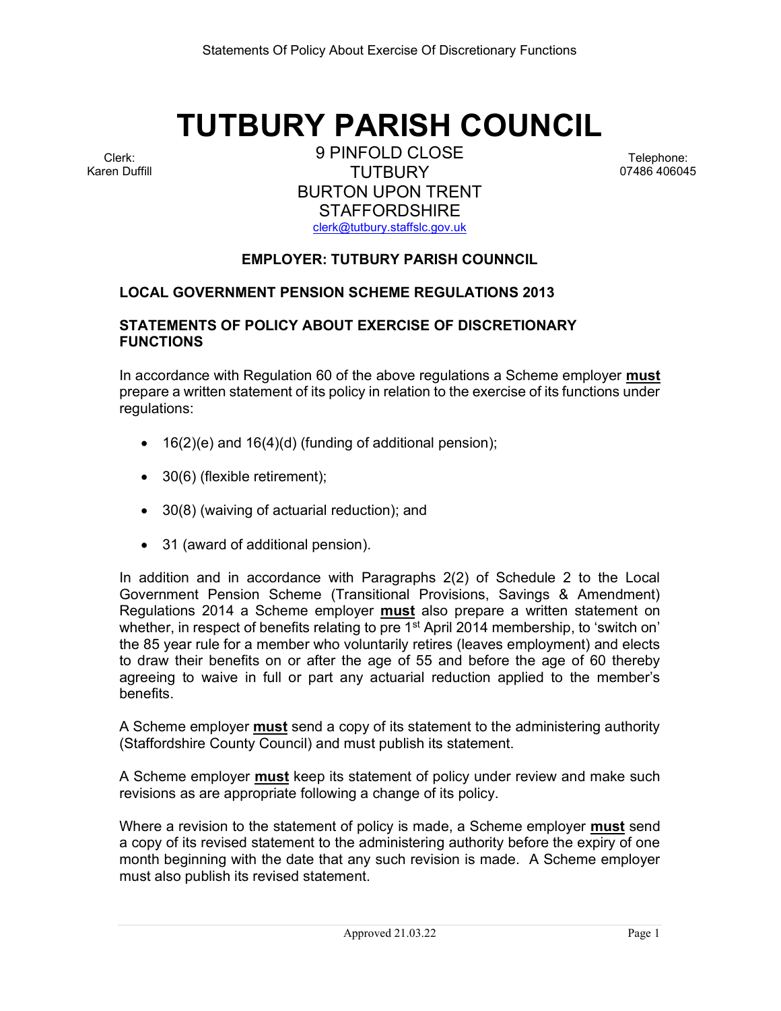# TUTBURY PARISH COUNCIL

Clerk: Karen Duffill

9 PINFOLD CLOSE **TUTBURY** BURTON UPON TRENT **STAFFORDSHIRE** clerk@tutbury.staffslc.gov.uk

Telephone: 07486 406045

# EMPLOYER: TUTBURY PARISH COUNNCIL

## LOCAL GOVERNMENT PENSION SCHEME REGULATIONS 2013

## STATEMENTS OF POLICY ABOUT EXERCISE OF DISCRETIONARY **FUNCTIONS**

In accordance with Regulation 60 of the above regulations a Scheme employer **must** prepare a written statement of its policy in relation to the exercise of its functions under regulations:

- $\bullet$  16(2)(e) and 16(4)(d) (funding of additional pension);
- 30(6) (flexible retirement);
- 30(8) (waiving of actuarial reduction); and
- 31 (award of additional pension).

In addition and in accordance with Paragraphs 2(2) of Schedule 2 to the Local Government Pension Scheme (Transitional Provisions, Savings & Amendment) Regulations 2014 a Scheme employer must also prepare a written statement on whether, in respect of benefits relating to pre 1<sup>st</sup> April 2014 membership, to 'switch on' the 85 year rule for a member who voluntarily retires (leaves employment) and elects to draw their benefits on or after the age of 55 and before the age of 60 thereby agreeing to waive in full or part any actuarial reduction applied to the member's benefits.

A Scheme employer **must** send a copy of its statement to the administering authority (Staffordshire County Council) and must publish its statement.

A Scheme employer **must** keep its statement of policy under review and make such revisions as are appropriate following a change of its policy.

Where a revision to the statement of policy is made, a Scheme employer **must** send a copy of its revised statement to the administering authority before the expiry of one month beginning with the date that any such revision is made. A Scheme employer must also publish its revised statement.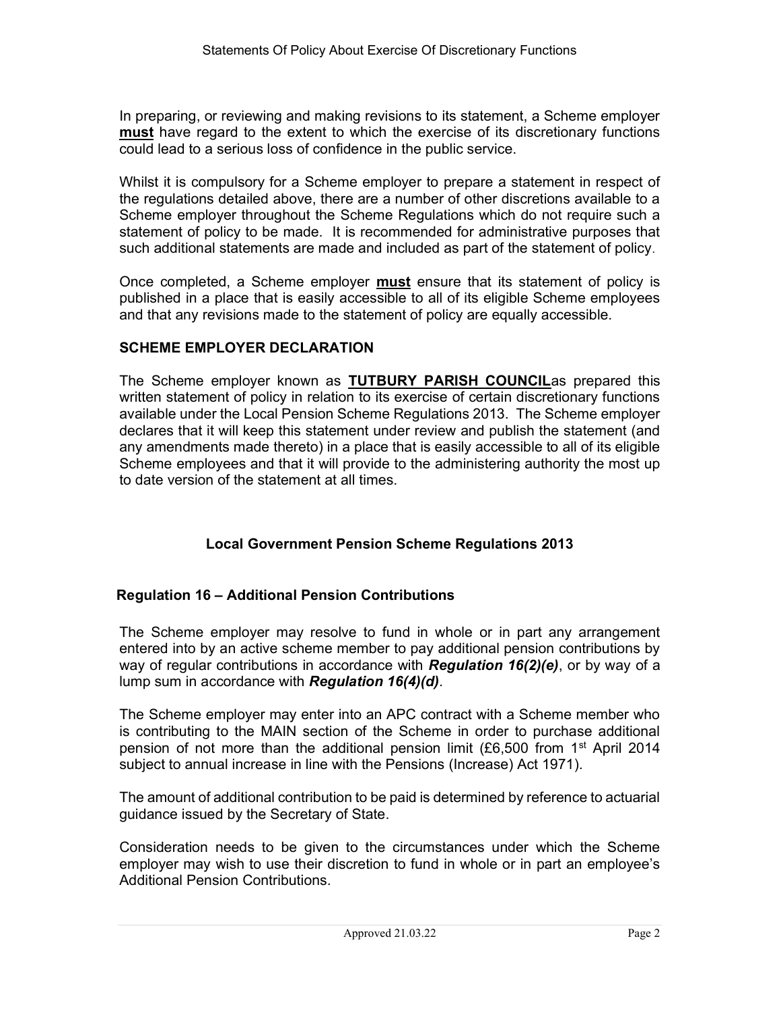In preparing, or reviewing and making revisions to its statement, a Scheme employer must have regard to the extent to which the exercise of its discretionary functions could lead to a serious loss of confidence in the public service.

Whilst it is compulsory for a Scheme employer to prepare a statement in respect of the regulations detailed above, there are a number of other discretions available to a Scheme employer throughout the Scheme Regulations which do not require such a statement of policy to be made. It is recommended for administrative purposes that such additional statements are made and included as part of the statement of policy.

Once completed, a Scheme employer must ensure that its statement of policy is published in a place that is easily accessible to all of its eligible Scheme employees and that any revisions made to the statement of policy are equally accessible.

# SCHEME EMPLOYER DECLARATION

The Scheme employer known as TUTBURY PARISH COUNCILas prepared this written statement of policy in relation to its exercise of certain discretionary functions available under the Local Pension Scheme Regulations 2013. The Scheme employer declares that it will keep this statement under review and publish the statement (and any amendments made thereto) in a place that is easily accessible to all of its eligible Scheme employees and that it will provide to the administering authority the most up to date version of the statement at all times.

# Local Government Pension Scheme Regulations 2013

# Regulation 16 – Additional Pension Contributions

The Scheme employer may resolve to fund in whole or in part any arrangement entered into by an active scheme member to pay additional pension contributions by way of regular contributions in accordance with Regulation 16(2)(e), or by way of a lump sum in accordance with **Regulation 16(4)(d)**.

The Scheme employer may enter into an APC contract with a Scheme member who is contributing to the MAIN section of the Scheme in order to purchase additional pension of not more than the additional pension limit (£6,500 from 1<sup>st</sup> April 2014 subject to annual increase in line with the Pensions (Increase) Act 1971).

The amount of additional contribution to be paid is determined by reference to actuarial guidance issued by the Secretary of State.

Consideration needs to be given to the circumstances under which the Scheme employer may wish to use their discretion to fund in whole or in part an employee's Additional Pension Contributions.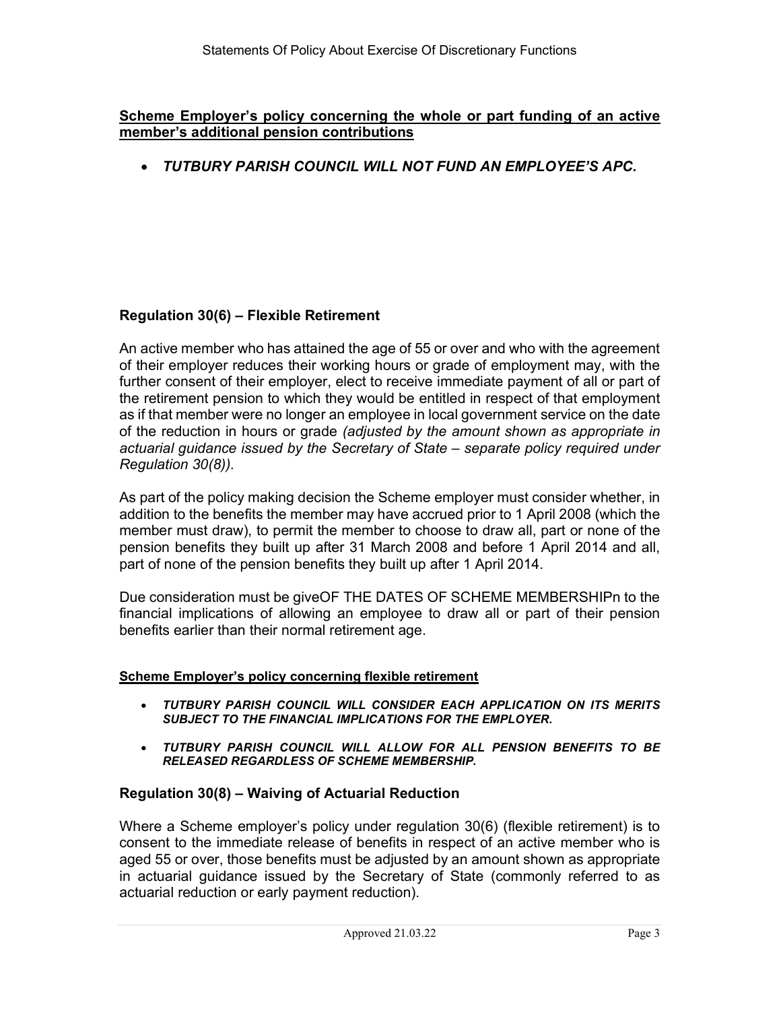## Scheme Employer's policy concerning the whole or part funding of an active member's additional pension contributions

TUTBURY PARISH COUNCIL WILL NOT FUND AN EMPLOYEE'S APC.

# Regulation 30(6) – Flexible Retirement

An active member who has attained the age of 55 or over and who with the agreement of their employer reduces their working hours or grade of employment may, with the further consent of their employer, elect to receive immediate payment of all or part of the retirement pension to which they would be entitled in respect of that employment as if that member were no longer an employee in local government service on the date of the reduction in hours or grade (adjusted by the amount shown as appropriate in actuarial guidance issued by the Secretary of State – separate policy required under Regulation 30(8)).

As part of the policy making decision the Scheme employer must consider whether, in addition to the benefits the member may have accrued prior to 1 April 2008 (which the member must draw), to permit the member to choose to draw all, part or none of the pension benefits they built up after 31 March 2008 and before 1 April 2014 and all, part of none of the pension benefits they built up after 1 April 2014.

Due consideration must be giveOF THE DATES OF SCHEME MEMBERSHIPn to the financial implications of allowing an employee to draw all or part of their pension benefits earlier than their normal retirement age.

## Scheme Employer's policy concerning flexible retirement

- TUTBURY PARISH COUNCIL WILL CONSIDER EACH APPLICATION ON ITS MERITS SUBJECT TO THE FINANCIAL IMPLICATIONS FOR THE EMPLOYER.
- TUTBURY PARISH COUNCIL WILL ALLOW FOR ALL PENSION BENEFITS TO BE RELEASED REGARDLESS OF SCHEME MEMBERSHIP.

# Regulation 30(8) – Waiving of Actuarial Reduction

Where a Scheme employer's policy under regulation 30(6) (flexible retirement) is to consent to the immediate release of benefits in respect of an active member who is aged 55 or over, those benefits must be adjusted by an amount shown as appropriate in actuarial guidance issued by the Secretary of State (commonly referred to as actuarial reduction or early payment reduction).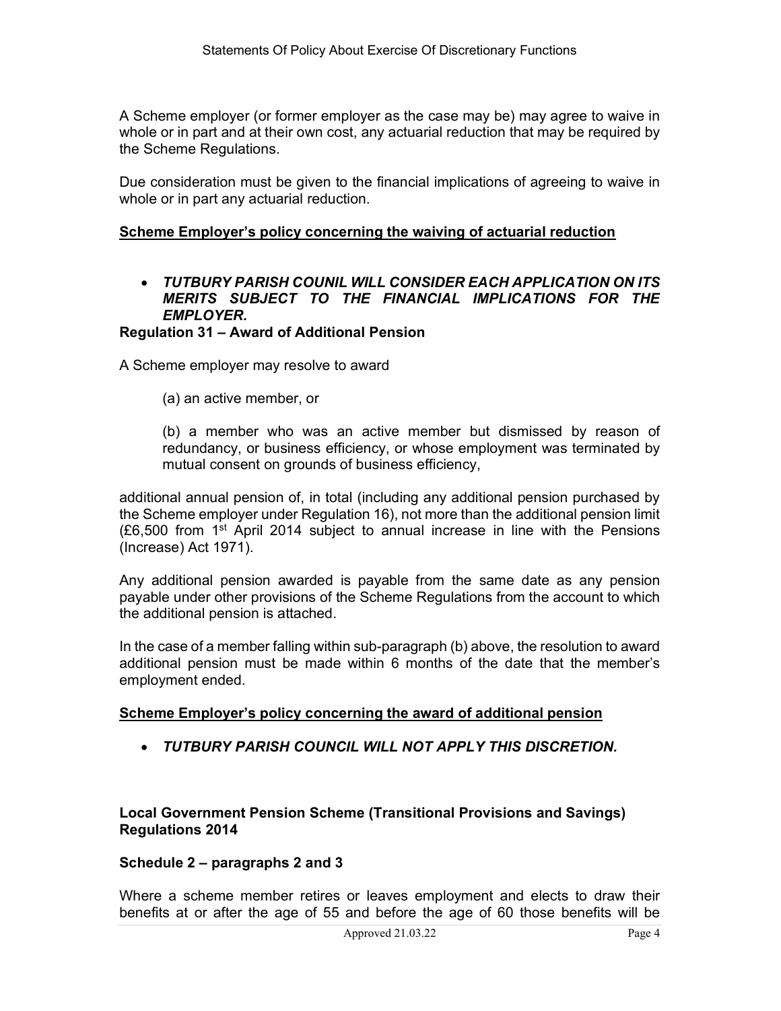A Scheme employer (or former employer as the case may be) may agree to waive in whole or in part and at their own cost, any actuarial reduction that may be required by the Scheme Regulations.

Due consideration must be given to the financial implications of agreeing to waive in whole or in part any actuarial reduction.

## Scheme Employer's policy concerning the waiving of actuarial reduction

# TUTBURY PARISH COUNIL WILL CONSIDER EACH APPLICATION ON ITS MERITS SUBJECT TO THE FINANCIAL IMPLICATIONS FOR THE EMPLOYER.

## Regulation 31 – Award of Additional Pension

A Scheme employer may resolve to award

(a) an active member, or

(b) a member who was an active member but dismissed by reason of redundancy, or business efficiency, or whose employment was terminated by mutual consent on grounds of business efficiency,

additional annual pension of, in total (including any additional pension purchased by the Scheme employer under Regulation 16), not more than the additional pension limit  $(E6,500$  from 1<sup>st</sup> April 2014 subject to annual increase in line with the Pensions (Increase) Act 1971).

Any additional pension awarded is payable from the same date as any pension payable under other provisions of the Scheme Regulations from the account to which the additional pension is attached.

In the case of a member falling within sub-paragraph (b) above, the resolution to award additional pension must be made within 6 months of the date that the member's employment ended.

## Scheme Employer's policy concerning the award of additional pension

TUTBURY PARISH COUNCIL WILL NOT APPLY THIS DISCRETION.

Local Government Pension Scheme (Transitional Provisions and Savings) Regulations 2014

## Schedule 2 – paragraphs 2 and 3

Where a scheme member retires or leaves employment and elects to draw their benefits at or after the age of 55 and before the age of 60 those benefits will be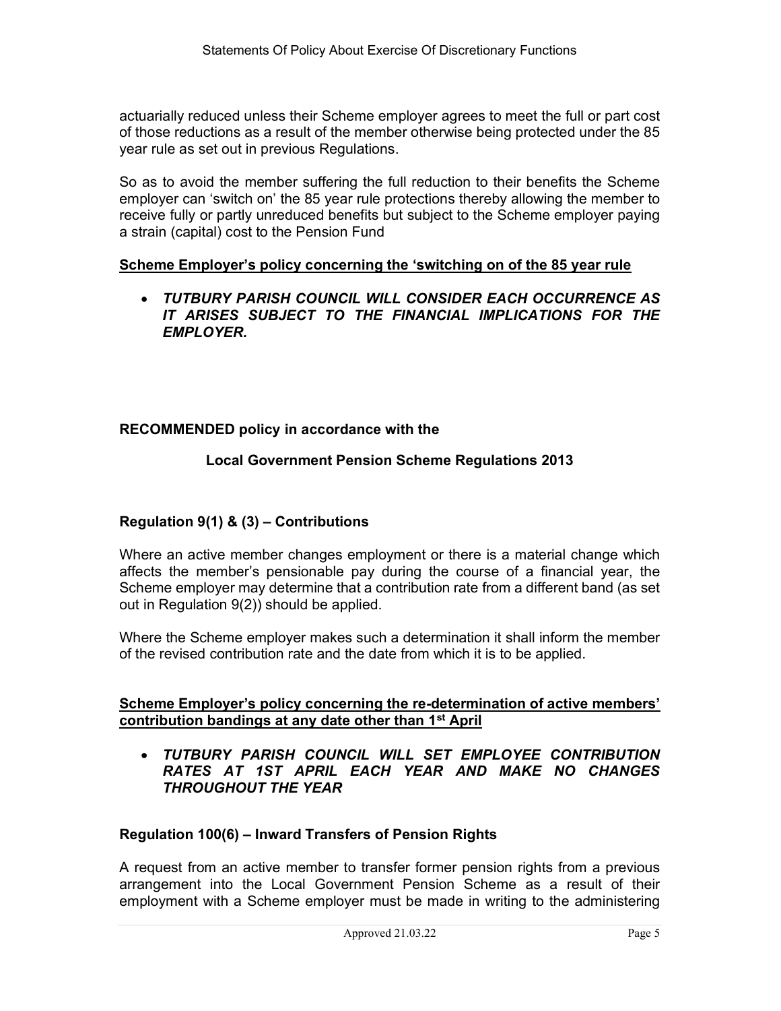actuarially reduced unless their Scheme employer agrees to meet the full or part cost of those reductions as a result of the member otherwise being protected under the 85 year rule as set out in previous Regulations.

So as to avoid the member suffering the full reduction to their benefits the Scheme employer can 'switch on' the 85 year rule protections thereby allowing the member to receive fully or partly unreduced benefits but subject to the Scheme employer paying a strain (capital) cost to the Pension Fund

## Scheme Employer's policy concerning the 'switching on of the 85 year rule

 TUTBURY PARISH COUNCIL WILL CONSIDER EACH OCCURRENCE AS IT ARISES SUBJECT TO THE FINANCIAL IMPLICATIONS FOR THE EMPLOYER.

## RECOMMENDED policy in accordance with the

## Local Government Pension Scheme Regulations 2013

# Regulation 9(1) & (3) – Contributions

Where an active member changes employment or there is a material change which affects the member's pensionable pay during the course of a financial year, the Scheme employer may determine that a contribution rate from a different band (as set out in Regulation 9(2)) should be applied.

Where the Scheme employer makes such a determination it shall inform the member of the revised contribution rate and the date from which it is to be applied.

## Scheme Employer's policy concerning the re-determination of active members' contribution bandings at any date other than 1st April

 TUTBURY PARISH COUNCIL WILL SET EMPLOYEE CONTRIBUTION RATES AT 1ST APRIL EACH YEAR AND MAKE NO CHANGES THROUGHOUT THE YEAR

## Regulation 100(6) – Inward Transfers of Pension Rights

A request from an active member to transfer former pension rights from a previous arrangement into the Local Government Pension Scheme as a result of their employment with a Scheme employer must be made in writing to the administering